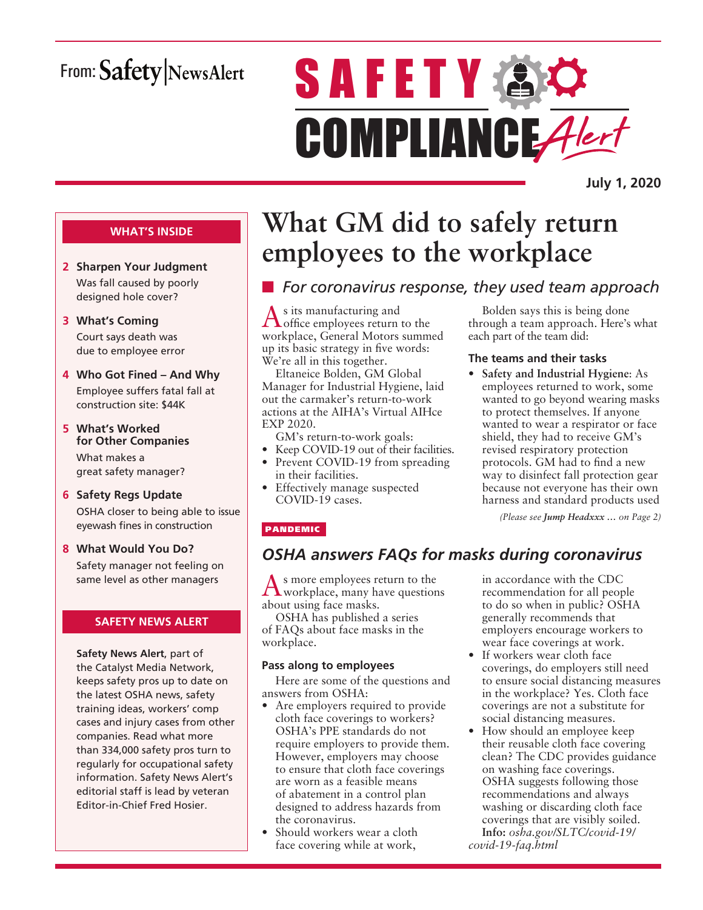## From: Safety NewsAlert

# **SAFETY AC** COMPLIANCE Alert

**July 1, 2020**

#### **WHAT'S INSIDE**

- **2 Sharpen Your Judgment** Was fall caused by poorly designed hole cover?
- **3 What's Coming** Court says death was due to employee error
- **4 Who Got Fined And Why** Employee suffers fatal fall at construction site: \$44K
- **5 What's Worked for Other Companies** What makes a great safety manager?
- **6 Safety Regs Update** OSHA closer to being able to issue eyewash fines in construction
- **8 What Would You Do?** Safety manager not feeling on same level as other managers

#### **SAFETY NEWS ALERT**

**Safety News Alert**, part of the Catalyst Media Network, keeps safety pros up to date on the latest OSHA news, safety training ideas, workers' comp cases and injury cases from other companies. Read what more than 334,000 safety pros turn to regularly for occupational safety information. Safety News Alert's editorial staff is lead by veteran Editor-in-Chief Fred Hosier.

## **What GM did to safely return employees to the workplace**

## **n** *For coronavirus response, they used team approach*

 $\Lambda$ <sup>s</sup> its manufacturing and office employees return to the workplace, General Motors summed up its basic strategy in five words: We're all in this together.

Eltaneice Bolden, GM Global Manager for Industrial Hygiene, laid out the carmaker's return-to-work actions at the AIHA's Virtual AIHce EXP 2020.

GM's return-to-work goals:

- Keep COVID-19 out of their facilities.
- Prevent COVID-19 from spreading in their facilities.
- Effectively manage suspected COVID-19 cases.

#### PANDEMIC

### *OSHA answers FAQs for masks during coronavirus*

As more employees return to the workplace, many have questions about using face masks.

OSHA has published a series of FAQs about face masks in the workplace.

#### **Pass along to employees**

Here are some of the questions and answers from OSHA:

- Are employers required to provide cloth face coverings to workers? OSHA's PPE standards do not require employers to provide them. However, employers may choose to ensure that cloth face coverings are worn as a feasible means of abatement in a control plan designed to address hazards from the coronavirus.
- Should workers wear a cloth face covering while at work,

in accordance with the CDC recommendation for all people to do so when in public? OSHA generally recommends that employers encourage workers to wear face coverings at work.

*(Please see Jump Headxxx … on Page 2)*

Bolden says this is being done through a team approach. Here's what

• **Safety and Industrial Hygiene**: As employees returned to work, some wanted to go beyond wearing masks to protect themselves. If anyone wanted to wear a respirator or face shield, they had to receive GM's revised respiratory protection protocols. GM had to find a new way to disinfect fall protection gear because not everyone has their own harness and standard products used

each part of the team did:

**The teams and their tasks**

- If workers wear cloth face coverings, do employers still need to ensure social distancing measures in the workplace? Yes. Cloth face coverings are not a substitute for social distancing measures.
- How should an employee keep their reusable cloth face covering clean? The CDC provides guidance on washing face coverings. OSHA suggests following those recommendations and always washing or discarding cloth face coverings that are visibly soiled. **Info:** *osha.gov/SLTC/covid-19/ covid-19-faq.html*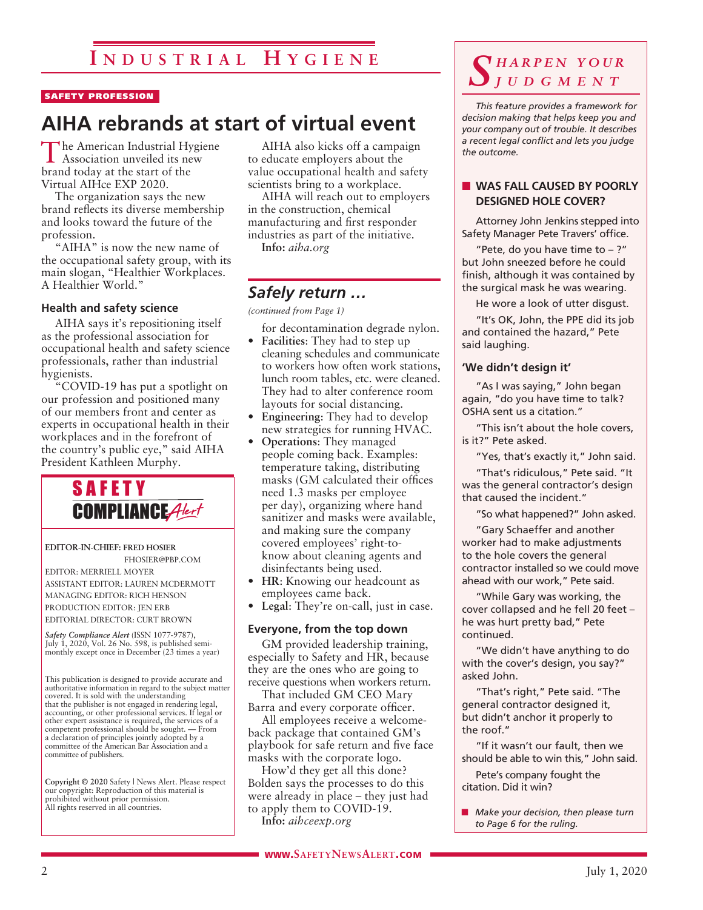#### SAFETY PROFESSION

## **AIHA rebrands at start of virtual event**

The American Industrial Hygiene Association unveiled its new brand today at the start of the Virtual AIHce EXP 2020.

The organization says the new brand reflects its diverse membership and looks toward the future of the profession.

"AIHA" is now the new name of the occupational safety group, with its main slogan, "Healthier Workplaces. A Healthier World."

#### **Health and safety science**

AIHA says it's repositioning itself as the professional association for occupational health and safety science professionals, rather than industrial hygienists.

"COVID-19 has put a spotlight on our profession and positioned many of our members front and center as experts in occupational health in their workplaces and in the forefront of the country's public eye," said AIHA President Kathleen Murphy.



**EDITOR-IN-CHIEF: FRED HOSIER** FHOSIER@PBP.COM

EDITOR: MERRIELL MOYER ASSISTANT EDITOR: LAUREN MCDERMOTT MANAGING EDITOR: RICH HENSON PRODUCTION EDITOR: JEN ERB EDITORIAL DIRECTOR: CURT BROWN

*Safety Compliance Alert* (ISSN 1077-9787), July 1, 2020, Vol. 26 No. 598, is published semimonthly except once in December (23 times a year)

This publication is designed to provide accurate and authoritative information in regard to the subject matter covered. It is sold with the understanding that the publisher is not engaged in rendering legal, accounting, or other professional services. If legal or other expert assistance is required, the services of a competent professional should be sought. — From a declaration of principles jointly adopted by a committee of the American Bar Association and a committee of publishers.

**Copyright © 2020** Safety | News Alert. Please respect our copyright: Reproduction of this material is prohibited without prior permission. All rights reserved in all countries.

AIHA also kicks off a campaign to educate employers about the value occupational health and safety scientists bring to a workplace.

AIHA will reach out to employers in the construction, chemical manufacturing and first responder industries as part of the initiative. **Info:** *aiha.org*

#### *Safely return …*

*(continued from Page 1)*

for decontamination degrade nylon.

- **Facilities**: They had to step up cleaning schedules and communicate to workers how often work stations, lunch room tables, etc. were cleaned. They had to alter conference room layouts for social distancing.
- **Engineering**: They had to develop new strategies for running HVAC.
- **Operations**: They managed people coming back. Examples: temperature taking, distributing masks (GM calculated their offices need 1.3 masks per employee per day), organizing where hand sanitizer and masks were available, and making sure the company covered employees' right-toknow about cleaning agents and disinfectants being used.
- **HR**: Knowing our headcount as employees came back.
- **Legal**: They're on-call, just in case.

#### **Everyone, from the top down**

GM provided leadership training, especially to Safety and HR, because they are the ones who are going to receive questions when workers return.

That included GM CEO Mary Barra and every corporate officer.

All employees receive a welcomeback package that contained GM's playbook for safe return and five face masks with the corporate logo.

How'd they get all this done? Bolden says the processes to do this were already in place – they just had to apply them to COVID-19. **Info:** *aihceexp.org*

*S h a r p e n y o u r j u d g m e n t*

*This feature provides a framework for decision making that helps keep you and your company out of trouble. It describes a recent legal conflict and lets you judge the outcome.*

#### **N** WAS FALL CAUSED BY POORLY **DESIGNED HOLE COVER?**

Attorney John Jenkins stepped into Safety Manager Pete Travers' office.

"Pete, do you have time to  $-$  ?" but John sneezed before he could finish, although it was contained by the surgical mask he was wearing.

He wore a look of utter disgust.

"It's OK, John, the PPE did its job and contained the hazard," Pete said laughing.

#### **'We didn't design it'**

"As I was saying," John began again, "do you have time to talk? OSHA sent us a citation."

"This isn't about the hole covers, is it?" Pete asked.

"Yes, that's exactly it," John said.

"That's ridiculous," Pete said. "It was the general contractor's design that caused the incident."

"So what happened?" John asked.

"Gary Schaeffer and another worker had to make adjustments to the hole covers the general contractor installed so we could move ahead with our work," Pete said.

"While Gary was working, the cover collapsed and he fell 20 feet – he was hurt pretty bad," Pete continued.

"We didn't have anything to do with the cover's design, you say?" asked John.

"That's right," Pete said. "The general contractor designed it, but didn't anchor it properly to the roof."

"If it wasn't our fault, then we should be able to win this," John said.

Pete's company fought the citation. Did it win?

**n** *Make your decision, then please turn to Page 6 for the ruling.*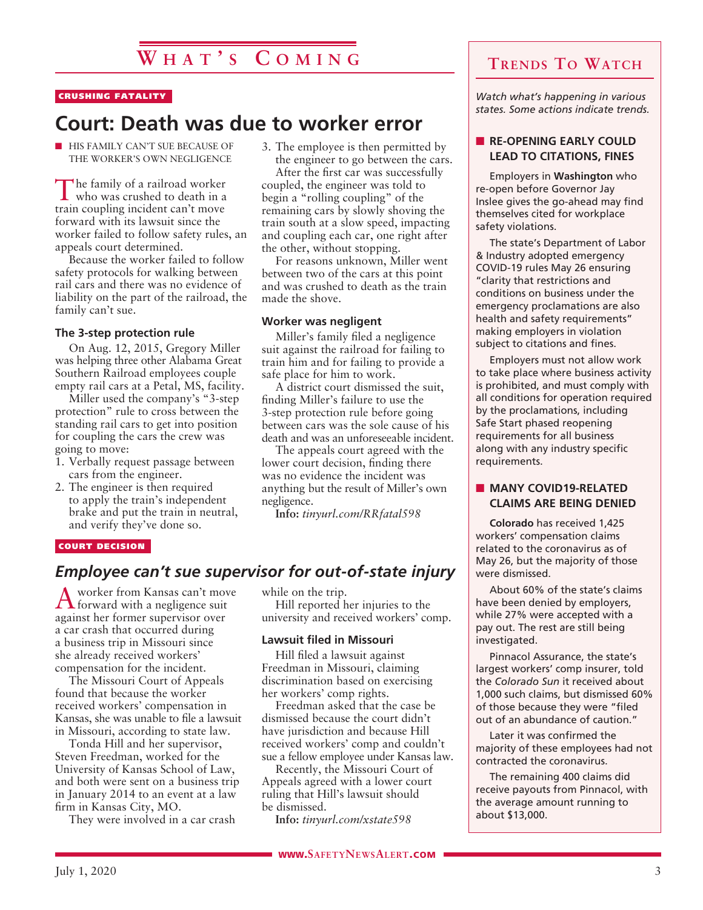## **W h a t ' s C o m i n g**

#### CRUSHING FATALITY

## **Court: Death was due to worker error**

**NORMAL HIS FAMILY CAN'T SUE BECAUSE OF** THE WORKER'S OWN NEGLIGENCE

The family of a railroad worker who was crushed to death in a train coupling incident can't move forward with its lawsuit since the worker failed to follow safety rules, an appeals court determined.

Because the worker failed to follow safety protocols for walking between rail cars and there was no evidence of liability on the part of the railroad, the family can't sue.

#### **The 3-step protection rule**

On Aug. 12, 2015, Gregory Miller was helping three other Alabama Great Southern Railroad employees couple empty rail cars at a Petal, MS, facility.

Miller used the company's "3-step protection" rule to cross between the standing rail cars to get into position for coupling the cars the crew was going to move:

- 1. Verbally request passage between cars from the engineer.
- 2. The engineer is then required to apply the train's independent brake and put the train in neutral, and verify they've done so.

3. The employee is then permitted by the engineer to go between the cars.

After the first car was successfully coupled, the engineer was told to begin a "rolling coupling" of the remaining cars by slowly shoving the train south at a slow speed, impacting and coupling each car, one right after the other, without stopping.

For reasons unknown, Miller went between two of the cars at this point and was crushed to death as the train made the shove.

#### **Worker was negligent**

Miller's family filed a negligence suit against the railroad for failing to train him and for failing to provide a safe place for him to work.

A district court dismissed the suit, finding Miller's failure to use the 3-step protection rule before going between cars was the sole cause of his death and was an unforeseeable incident.

The appeals court agreed with the lower court decision, finding there was no evidence the incident was anything but the result of Miller's own negligence.

**Info:** *tinyurl.com/RRfatal598*

#### COURT DECISION

#### *Employee can't sue supervisor for out-of-state injury*

A worker from Kansas can't move forward with a negligence suit against her former supervisor over a car crash that occurred during a business trip in Missouri since she already received workers' compensation for the incident.

The Missouri Court of Appeals found that because the worker received workers' compensation in Kansas, she was unable to file a lawsuit in Missouri, according to state law.

Tonda Hill and her supervisor, Steven Freedman, worked for the University of Kansas School of Law, and both were sent on a business trip in January 2014 to an event at a law firm in Kansas City, MO.

They were involved in a car crash

while on the trip.

Hill reported her injuries to the university and received workers' comp.

#### **Lawsuit filed in Missouri**

Hill filed a lawsuit against Freedman in Missouri, claiming discrimination based on exercising her workers' comp rights.

Freedman asked that the case be dismissed because the court didn't have jurisdiction and because Hill received workers' comp and couldn't sue a fellow employee under Kansas law.

Recently, the Missouri Court of Appeals agreed with a lower court ruling that Hill's lawsuit should be dismissed.

**Info:** *tinyurl.com/xstate598*

#### **Trends To Watch**

*Watch what's happening in various states. Some actions indicate trends.*

#### **RE-OPENING EARLY COULD LEAD TO CITATIONS, FINES**

Employers in **Washington** who re-open before Governor Jay Inslee gives the go-ahead may find themselves cited for workplace safety violations.

The state's Department of Labor & Industry adopted emergency COVID-19 rules May 26 ensuring "clarity that restrictions and conditions on business under the emergency proclamations are also health and safety requirements" making employers in violation subject to citations and fines.

Employers must not allow work to take place where business activity is prohibited, and must comply with all conditions for operation required by the proclamations, including Safe Start phased reopening requirements for all business along with any industry specific requirements.

#### **NANY COVID19-RELATED CLAIMS ARE BEING DENIED**

**Colorado** has received 1,425 workers' compensation claims related to the coronavirus as of May 26, but the majority of those were dismissed.

About 60% of the state's claims have been denied by employers, while 27% were accepted with a pay out. The rest are still being investigated.

Pinnacol Assurance, the state's largest workers' comp insurer, told the *Colorado Sun* it received about 1,000 such claims, but dismissed 60% of those because they were "filed out of an abundance of caution."

Later it was confirmed the majority of these employees had not contracted the coronavirus.

The remaining 400 claims did receive payouts from Pinnacol, with the average amount running to about \$13,000.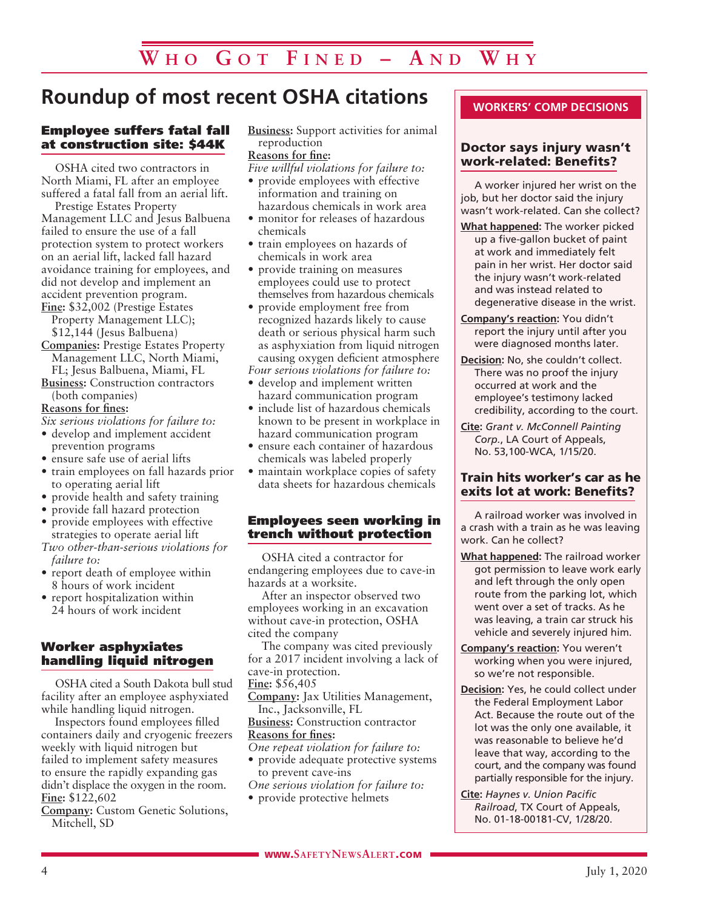## **Roundup of most recent OSHA citations**

#### Employee suffers fatal fall at construction site: \$44K

OSHA cited two contractors in North Miami, FL after an employee suffered a fatal fall from an aerial lift.

Prestige Estates Property Management LLC and Jesus Balbuena failed to ensure the use of a fall protection system to protect workers on an aerial lift, lacked fall hazard avoidance training for employees, and did not develop and implement an accident prevention program.

**Fine:** \$32,002 (Prestige Estates Property Management LLC); \$12,144 (Jesus Balbuena)

- **Companies:** Prestige Estates Property Management LLC, North Miami, FL; Jesus Balbuena, Miami, FL
- **Business:** Construction contractors (both companies)

**Reasons for fines:**

*Six serious violations for failure to:*

- develop and implement accident prevention programs
- ensure safe use of aerial lifts
- train employees on fall hazards prior to operating aerial lift
- provide health and safety training
- provide fall hazard protection
- provide employees with effective strategies to operate aerial lift
- *Two other-than-serious violations for failure to:*
- report death of employee within 8 hours of work incident
- report hospitalization within 24 hours of work incident

#### Worker asphyxiates handling liquid nitrogen

OSHA cited a South Dakota bull stud facility after an employee asphyxiated while handling liquid nitrogen.

Inspectors found employees filled containers daily and cryogenic freezers weekly with liquid nitrogen but failed to implement safety measures to ensure the rapidly expanding gas didn't displace the oxygen in the room. **Fine:** \$122,602

**Company:** Custom Genetic Solutions, Mitchell, SD

**Business:** Support activities for animal reproduction **Reasons for fine:**

- *Five willful violations for failure to:*
- provide employees with effective information and training on hazardous chemicals in work area
- monitor for releases of hazardous chemicals
- train employees on hazards of chemicals in work area
- provide training on measures employees could use to protect themselves from hazardous chemicals
- provide employment free from recognized hazards likely to cause death or serious physical harm such as asphyxiation from liquid nitrogen causing oxygen deficient atmosphere

*Four serious violations for failure to:*

- develop and implement written hazard communication program
- include list of hazardous chemicals known to be present in workplace in hazard communication program
- ensure each container of hazardous chemicals was labeled properly
- maintain workplace copies of safety data sheets for hazardous chemicals

#### Employees seen working in trench without protection

OSHA cited a contractor for endangering employees due to cave-in hazards at a worksite.

After an inspector observed two employees working in an excavation without cave-in protection, OSHA cited the company

The company was cited previously for a 2017 incident involving a lack of cave-in protection.

**Fine:** \$56,405

**Company:** Jax Utilities Management, Inc., Jacksonville, FL

**Business:** Construction contractor **Reasons for fines:**

- *One repeat violation for failure to:* • provide adequate protective systems
- to prevent cave-ins *One serious violation for failure to:*
- provide protective helmets

#### **WORKERS' COMP DECISIONS**

#### Doctor says injury wasn't work-related: Benefits?

A worker injured her wrist on the job, but her doctor said the injury wasn't work-related. Can she collect?

- **What happened:** The worker picked up a five-gallon bucket of paint at work and immediately felt pain in her wrist. Her doctor said the injury wasn't work-related and was instead related to degenerative disease in the wrist.
- **Company's reaction:** You didn't report the injury until after you were diagnosed months later.
- **Decision:** No, she couldn't collect. There was no proof the injury occurred at work and the employee's testimony lacked credibility, according to the court.
- **Cite:** *Grant v. McConnell Painting Corp.*, LA Court of Appeals, No. 53,100-WCA, 1/15/20.

#### Train hits worker's car as he exits lot at work: Benefits?

A railroad worker was involved in a crash with a train as he was leaving work. Can he collect?

- **What happened:** The railroad worker got permission to leave work early and left through the only open route from the parking lot, which went over a set of tracks. As he was leaving, a train car struck his vehicle and severely injured him.
- **Company's reaction:** You weren't working when you were injured, so we're not responsible.
- **Decision:** Yes, he could collect under the Federal Employment Labor Act. Because the route out of the lot was the only one available, it was reasonable to believe he'd leave that way, according to the court, and the company was found partially responsible for the injury.
- **Cite:** *Haynes v. Union Pacific Railroad*, TX Court of Appeals, No. 01-18-00181-CV, 1/28/20.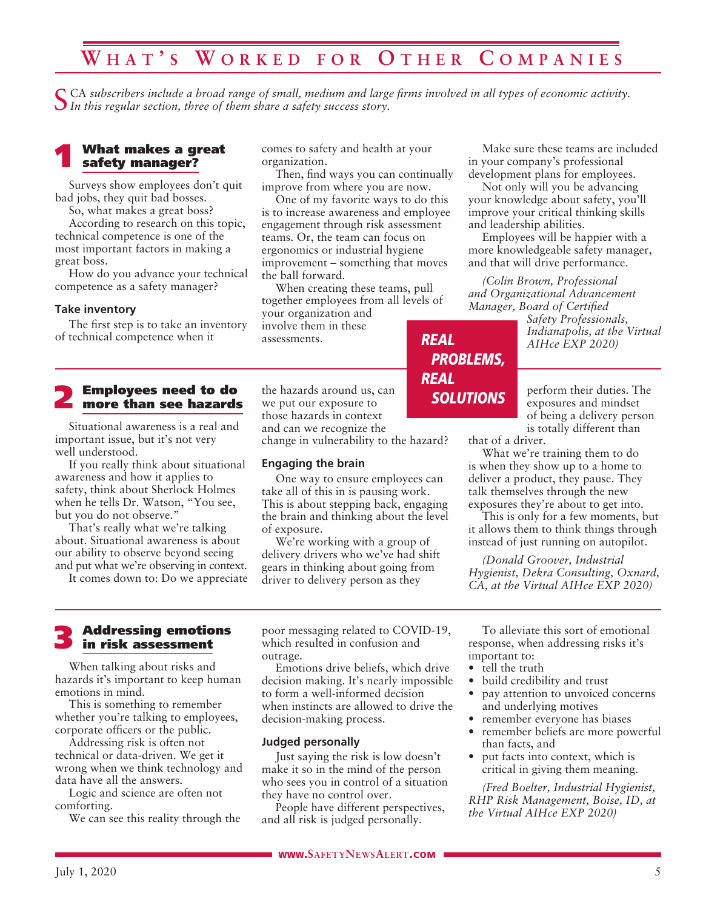## **W h a t ' s W o r k e d f o r O t h e r C o m p a n i e s**

CA subscribers include a broad range of small, medium and large firms involved in all types of economic activity. *In this regular section, three of them share a safety success story.*

#### What makes a great safety manager?

Surveys show employees don't quit bad jobs, they quit bad bosses.

So, what makes a great boss?

According to research on this topic, technical competence is one of the most important factors in making a great boss.

How do you advance your technical competence as a safety manager?

#### **Take inventory**

The first step is to take an inventory of technical competence when it

#### 2 Employees need to do more than see hazards

Situational awareness is a real and important issue, but it's not very well understood.

If you really think about situational awareness and how it applies to safety, think about Sherlock Holmes when he tells Dr. Watson, "You see, but you do not observe."

That's really what we're talking about. Situational awareness is about our ability to observe beyond seeing and put what we're observing in context.

It comes down to: Do we appreciate

comes to safety and health at your organization.

Then, find ways you can continually improve from where you are now.

One of my favorite ways to do this is to increase awareness and employee engagement through risk assessment teams. Or, the team can focus on ergonomics or industrial hygiene improvement – something that moves the ball forward.

When creating these teams, pull together employees from all levels of your organization and involve them in these assessments. *REAL*

the hazards around us, can we put our exposure to those hazards in context and can we recognize the change in vulnerability to the hazard?

#### **Engaging the brain**

One way to ensure employees can take all of this in is pausing work. This is about stepping back, engaging the brain and thinking about the level of exposure.

We're working with a group of delivery drivers who we've had shift gears in thinking about going from driver to delivery person as they

Make sure these teams are included in your company's professional development plans for employees.

Not only will you be advancing your knowledge about safety, you'll improve your critical thinking skills and leadership abilities.

Employees will be happier with a more knowledgeable safety manager, and that will drive performance.

*(Colin Brown, Professional and Organizational Advancement Manager, Board of Certified* 

> *Safety Professionals, Indianapolis, at the Virtual AIHce EXP 2020)*

perform their duties. The exposures and mindset of being a delivery person is totally different than

that of a driver.

*PROBLEMS,*

*SOLUTIONS*

*REAL*

What we're training them to do is when they show up to a home to deliver a product, they pause. They talk themselves through the new exposures they're about to get into.

This is only for a few moments, but it allows them to think things through instead of just running on autopilot.

*(Donald Groover, Industrial Hygienist, Dekra Consulting, Oxnard, CA, at the Virtual AIHce EXP 2020)*

#### 3 Addressing emotions in risk assessment

When talking about risks and hazards it's important to keep human emotions in mind.

This is something to remember whether you're talking to employees, corporate officers or the public.

Addressing risk is often not technical or data-driven. We get it wrong when we think technology and data have all the answers.

Logic and science are often not comforting.

We can see this reality through the

poor messaging related to COVID-19, which resulted in confusion and outrage.

Emotions drive beliefs, which drive decision making. It's nearly impossible to form a well-informed decision when instincts are allowed to drive the decision-making process.

#### **Judged personally**

Just saying the risk is low doesn't make it so in the mind of the person who sees you in control of a situation they have no control over.

People have different perspectives, and all risk is judged personally.

To alleviate this sort of emotional response, when addressing risks it's important to:

- tell the truth
- build credibility and trust
- pay attention to unvoiced concerns and underlying motives
- remember everyone has biases
- remember beliefs are more powerful than facts, and
- put facts into context, which is critical in giving them meaning.

*(Fred Boelter, Industrial Hygienist, RHP Risk Management, Boise, ID, at the Virtual AIHce EXP 2020)*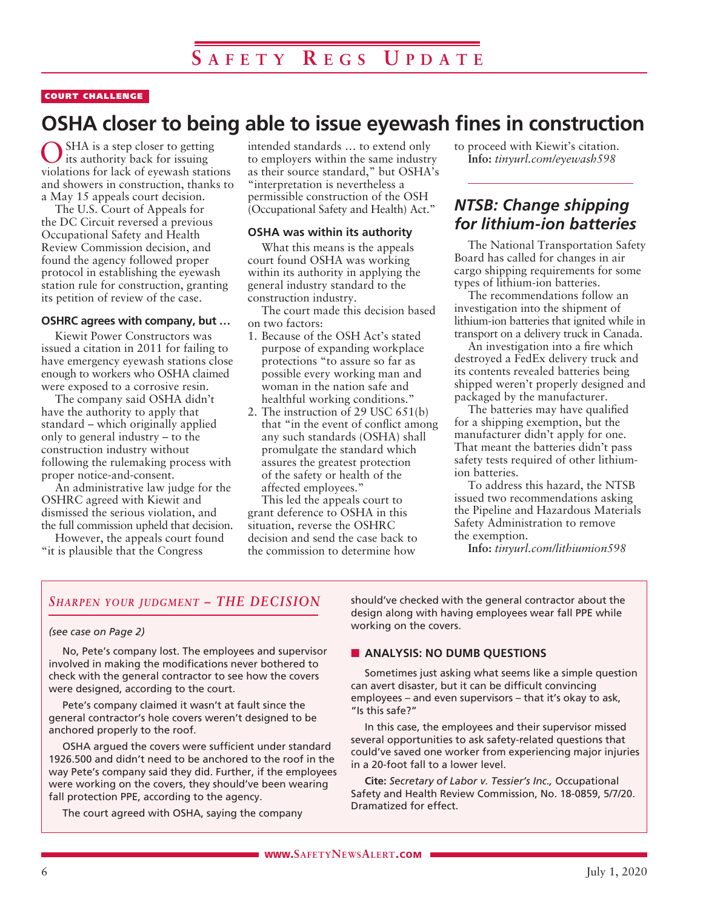#### COURT CHALLENGE

## **OSHA closer to being able to issue eyewash fines in construction**

SHA is a step closer to getting its authority back for issuing violations for lack of eyewash stations and showers in construction, thanks to a May 15 appeals court decision.

The U.S. Court of Appeals for the DC Circuit reversed a previous Occupational Safety and Health Review Commission decision, and found the agency followed proper protocol in establishing the eyewash station rule for construction, granting its petition of review of the case.

#### **OSHRC agrees with company, but …**

Kiewit Power Constructors was issued a citation in 2011 for failing to have emergency eyewash stations close enough to workers who OSHA claimed were exposed to a corrosive resin.

The company said OSHA didn't have the authority to apply that standard – which originally applied only to general industry – to the construction industry without following the rulemaking process with proper notice-and-consent.

An administrative law judge for the OSHRC agreed with Kiewit and dismissed the serious violation, and the full commission upheld that decision.

However, the appeals court found "it is plausible that the Congress

intended standards … to extend only to employers within the same industry as their source standard," but OSHA's "interpretation is nevertheless a permissible construction of the OSH (Occupational Safety and Health) Act."

#### **OSHA was within its authority**

What this means is the appeals court found OSHA was working within its authority in applying the general industry standard to the construction industry.

The court made this decision based on two factors:

- 1. Because of the OSH Act's stated purpose of expanding workplace protections "to assure so far as possible every working man and woman in the nation safe and healthful working conditions."
- 2. The instruction of 29 USC 651(b) that "in the event of conflict among any such standards (OSHA) shall promulgate the standard which assures the greatest protection of the safety or health of the affected employees."

This led the appeals court to grant deference to OSHA in this situation, reverse the OSHRC decision and send the case back to the commission to determine how

to proceed with Kiewit's citation. **Info:** *tinyurl.com/eyewash598*

#### *NTSB: Change shipping for lithium-ion batteries*

The National Transportation Safety Board has called for changes in air cargo shipping requirements for some types of lithium-ion batteries.

The recommendations follow an investigation into the shipment of lithium-ion batteries that ignited while in transport on a delivery truck in Canada.

An investigation into a fire which destroyed a FedEx delivery truck and its contents revealed batteries being shipped weren't properly designed and packaged by the manufacturer.

The batteries may have qualified for a shipping exemption, but the manufacturer didn't apply for one. That meant the batteries didn't pass safety tests required of other lithiumion batteries.

To address this hazard, the NTSB issued two recommendations asking the Pipeline and Hazardous Materials Safety Administration to remove the exemption.

**Info:** *tinyurl.com/lithiumion598*

#### *Sharpen your judgment – THE DECISION*

#### *(see case on Page 2)*

No, Pete's company lost. The employees and supervisor involved in making the modifications never bothered to check with the general contractor to see how the covers were designed, according to the court.

Pete's company claimed it wasn't at fault since the general contractor's hole covers weren't designed to be anchored properly to the roof.

OSHA argued the covers were sufficient under standard 1926.500 and didn't need to be anchored to the roof in the way Pete's company said they did. Further, if the employees were working on the covers, they should've been wearing fall protection PPE, according to the agency.

The court agreed with OSHA, saying the company

should've checked with the general contractor about the design along with having employees wear fall PPE while working on the covers.

#### **NO DUMB QUESTIONS**

Sometimes just asking what seems like a simple question can avert disaster, but it can be difficult convincing employees – and even supervisors – that it's okay to ask, "Is this safe?"

In this case, the employees and their supervisor missed several opportunities to ask safety-related questions that could've saved one worker from experiencing major injuries in a 20-foot fall to a lower level.

**Cite:** *Secretary of Labor v. Tessier's Inc.,* Occupational Safety and Health Review Commission, No. 18-0859, 5/7/20. Dramatized for effect.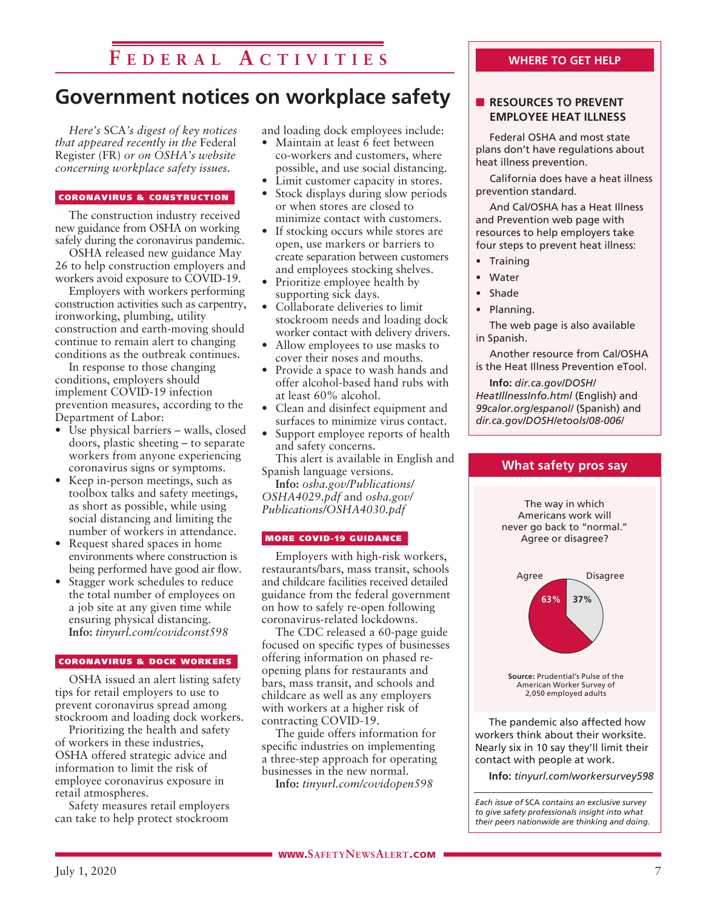## **F e d e r a l A c t i v i t i e s**

## **Government notices on workplace safety**

*Here's* SCA*'s digest of key notices that appeared recently in the* Federal Register (FR) *or on OSHA's website concerning workplace safety issues.* 

#### CORONAVIRUS & CONSTRUCTION

The construction industry received new guidance from OSHA on working safely during the coronavirus pandemic.

OSHA released new guidance May 26 to help construction employers and workers avoid exposure to COVID-19.

Employers with workers performing construction activities such as carpentry, ironworking, plumbing, utility construction and earth-moving should continue to remain alert to changing conditions as the outbreak continues.

In response to those changing conditions, employers should implement COVID-19 infection prevention measures, according to the Department of Labor:

- Use physical barriers walls, closed doors, plastic sheeting – to separate workers from anyone experiencing coronavirus signs or symptoms.
- Keep in-person meetings, such as toolbox talks and safety meetings, as short as possible, while using social distancing and limiting the number of workers in attendance.
- Request shared spaces in home environments where construction is being performed have good air flow.
- Stagger work schedules to reduce the total number of employees on a job site at any given time while ensuring physical distancing. **Info:** *tinyurl.com/covidconst598*

#### CORONAVIRUS & DOCK WORKERS

OSHA issued an alert listing safety tips for retail employers to use to prevent coronavirus spread among stockroom and loading dock workers.

Prioritizing the health and safety of workers in these industries, OSHA offered strategic advice and information to limit the risk of employee coronavirus exposure in retail atmospheres.

Safety measures retail employers can take to help protect stockroom

and loading dock employees include:

- Maintain at least 6 feet between co-workers and customers, where possible, and use social distancing.
- Limit customer capacity in stores. Stock displays during slow periods
- or when stores are closed to minimize contact with customers.
- If stocking occurs while stores are open, use markers or barriers to create separation between customers and employees stocking shelves.
- Prioritize employee health by supporting sick days.
- Collaborate deliveries to limit stockroom needs and loading dock worker contact with delivery drivers.
- Allow employees to use masks to cover their noses and mouths.
- Provide a space to wash hands and offer alcohol-based hand rubs with at least 60% alcohol.
- Clean and disinfect equipment and surfaces to minimize virus contact.
- Support employee reports of health and safety concerns.

This alert is available in English and Spanish language versions.

**Info:** *osha.gov/Publications/ OSHA4029.pdf* and *osha.gov/ Publications/OSHA4030.pdf*

#### MORE COVID-19 GUIDANCE

Employers with high-risk workers, restaurants/bars, mass transit, schools and childcare facilities received detailed guidance from the federal government on how to safely re-open following coronavirus-related lockdowns.

The CDC released a 60-page guide focused on specific types of businesses offering information on phased reopening plans for restaurants and bars, mass transit, and schools and childcare as well as any employers with workers at a higher risk of contracting COVID-19.

The guide offers information for specific industries on implementing a three-step approach for operating businesses in the new normal.

**Info:** *tinyurl.com/covidopen598*

#### **WHERE TO GET HELP**

#### **N** RESOURCES TO PREVENT **EMPLOYEE HEAT ILLNESS**

Federal OSHA and most state plans don't have regulations about heat illness prevention.

California does have a heat illness prevention standard.

And Cal/OSHA has a Heat Illness and Prevention web page with resources to help employers take four steps to prevent heat illness:

- Training
- Water
- Shade
- Planning.

The web page is also available in Spanish.

Another resource from Cal/OSHA is the Heat Illness Prevention eTool.

**Info:** *dir.ca.gov/DOSH/ HeatIllnessInfo.html* (English) and *99calor.org/espanol/* (Spanish) and *dir.ca.gov/DOSH/etools/08-006/*



**Info:** *tinyurl.com/workersurvey598*

*Each issue of* SCA *contains an exclusive survey to give safety professionals insight into what their peers nationwide are thinking and doing.*